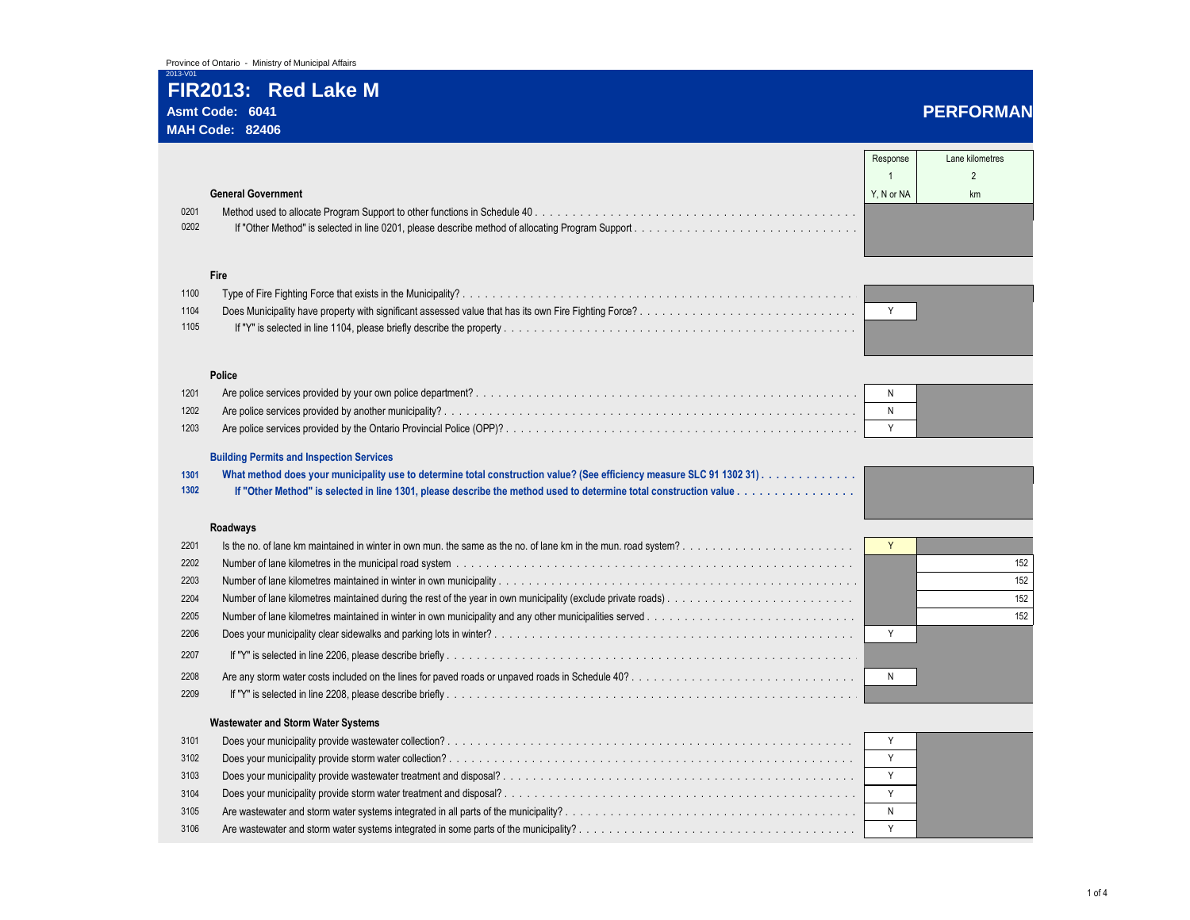# **FIR2013: Red Lake M Asmt Code: 6041 PERFORMAN**

### **MAH Code: 82406**

|      |                                                 | Response   | Lane kilometres |
|------|-------------------------------------------------|------------|-----------------|
|      |                                                 |            | $\overline{2}$  |
|      | <b>General Government</b>                       | Y. N or NA | km              |
| 0201 |                                                 |            |                 |
| 0202 |                                                 |            |                 |
|      |                                                 |            |                 |
|      | Fire                                            |            |                 |
| 1100 |                                                 |            |                 |
| 1104 |                                                 | Y          |                 |
| 1105 |                                                 |            |                 |
|      |                                                 |            |                 |
|      | Police                                          |            |                 |
| 1201 |                                                 | N          |                 |
| 1202 |                                                 | N          |                 |
| 1203 |                                                 | Y          |                 |
|      |                                                 |            |                 |
|      | <b>Building Permits and Inspection Services</b> |            |                 |
| 1301 |                                                 |            |                 |
| 1302 |                                                 |            |                 |
|      | Roadways                                        |            |                 |
| 2201 |                                                 | Y          |                 |
| 2202 |                                                 |            | 152             |
| 2203 |                                                 |            | 152             |
| 2204 |                                                 |            | 152             |
| 2205 |                                                 |            | 152             |
| 2206 |                                                 | Y          |                 |
| 2207 |                                                 |            |                 |
| 2208 |                                                 | N          |                 |
| 2209 |                                                 |            |                 |
|      | <b>Wastewater and Storm Water Systems</b>       |            |                 |
| 3101 |                                                 | Y          |                 |
| 3102 |                                                 | Y          |                 |
| 3103 |                                                 | Y          |                 |
| 3104 |                                                 | Y          |                 |
| 3105 |                                                 | N          |                 |
| 3106 |                                                 | Y          |                 |
|      |                                                 |            |                 |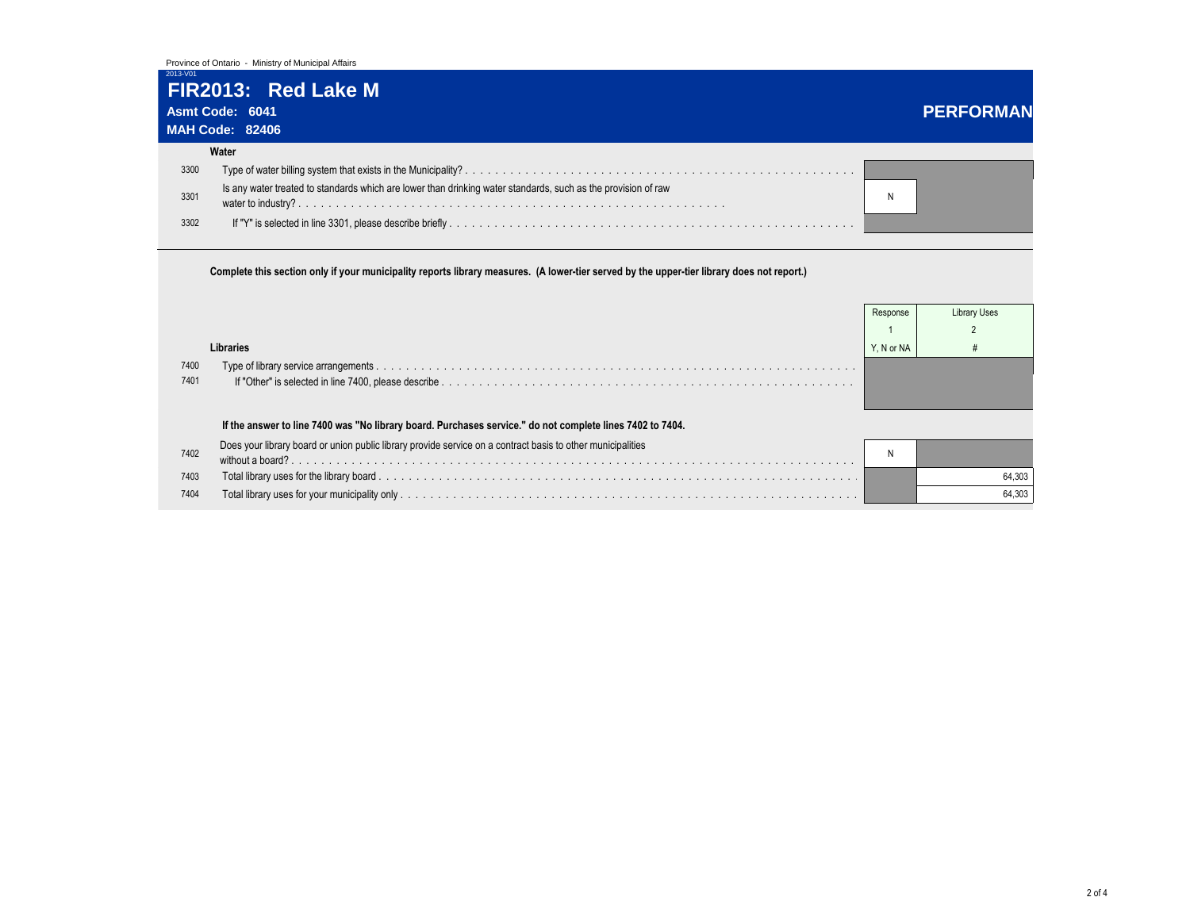# **FIR2013: Red Lake M**

|      | Asmt Code: 6041                                                                                               | <b>PERFORMAN</b> |
|------|---------------------------------------------------------------------------------------------------------------|------------------|
|      | <b>MAH Code: 82406</b>                                                                                        |                  |
|      | Water                                                                                                         |                  |
| 3300 |                                                                                                               |                  |
| 3301 | Is any water treated to standards which are lower than drinking water standards, such as the provision of raw |                  |
| 3302 |                                                                                                               |                  |

## **Complete this section only if your municipality reports library measures. (A lower-tier served by the upper-tier library does not report.)**

| 7400<br>7401 | Libraries                                                                                                   | Response<br>Y. N or NA | Library Uses |  |  |  |
|--------------|-------------------------------------------------------------------------------------------------------------|------------------------|--------------|--|--|--|
|              | If the answer to line 7400 was "No library board. Purchases service." do not complete lines 7402 to 7404.   |                        |              |  |  |  |
| 7402         | Does your library board or union public library provide service on a contract basis to other municipalities |                        |              |  |  |  |
| 7403         |                                                                                                             |                        | 64.303       |  |  |  |
| 7404         |                                                                                                             |                        | 64,303       |  |  |  |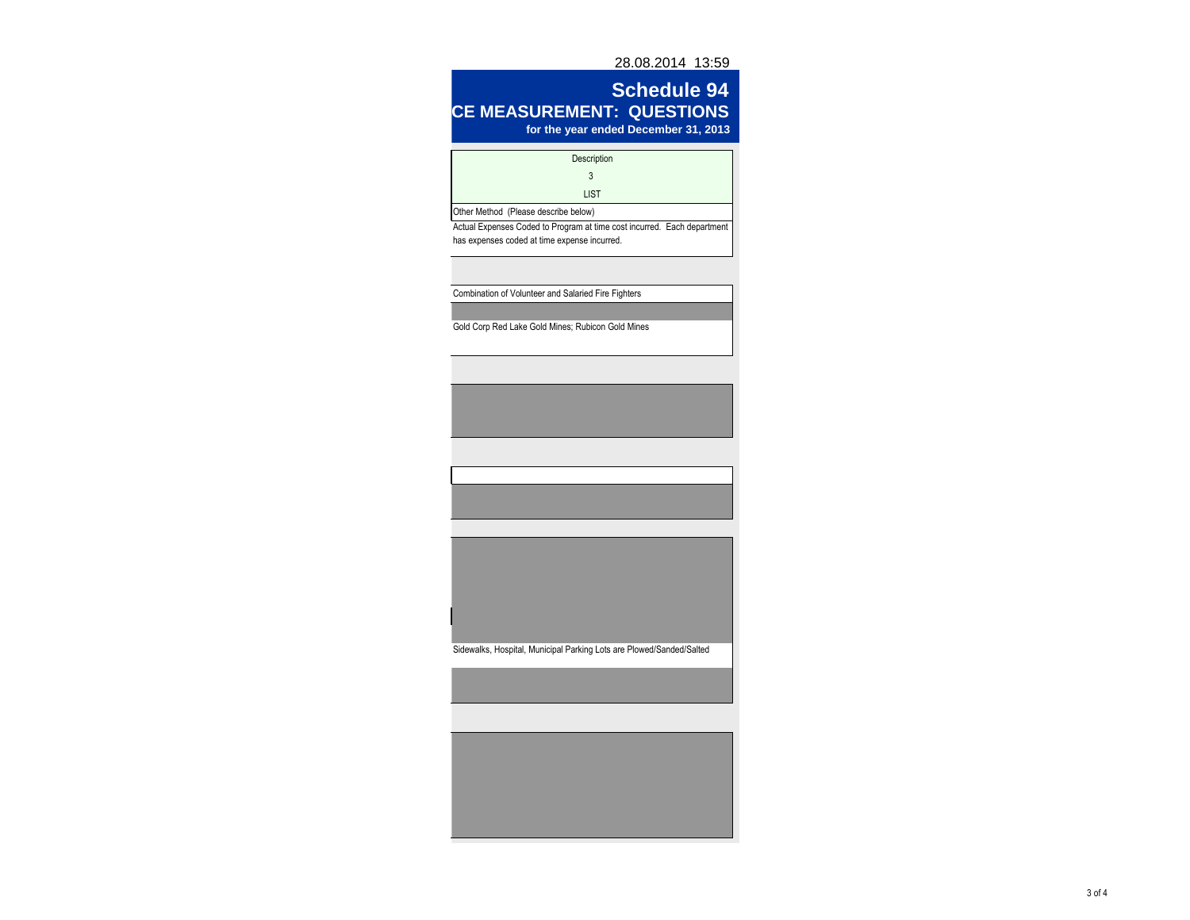28.08.2014 13:59

## **Schedule 94 CE MEASUREMENT: QUESTIONS for the year ended December 31, 2013**

| , ure j                                                                                                                 |
|-------------------------------------------------------------------------------------------------------------------------|
| Description                                                                                                             |
| 3                                                                                                                       |
| <b>LIST</b>                                                                                                             |
| Other Method (Please describe below)                                                                                    |
| Actual Expenses Coded to Program at time cost incurred. Each department<br>has expenses coded at time expense incurred. |
| Combination of Volunteer and Salaried Fire Fighters                                                                     |
|                                                                                                                         |
| Gold Corp Red Lake Gold Mines; Rubicon Gold Mines                                                                       |
|                                                                                                                         |
|                                                                                                                         |
|                                                                                                                         |
|                                                                                                                         |
|                                                                                                                         |
|                                                                                                                         |
|                                                                                                                         |
|                                                                                                                         |
|                                                                                                                         |
|                                                                                                                         |
|                                                                                                                         |
| Sidewalks, Hospital, Municipal Parking Lots are Plowed/Sanded/Salted                                                    |
|                                                                                                                         |
|                                                                                                                         |
|                                                                                                                         |
|                                                                                                                         |
|                                                                                                                         |
|                                                                                                                         |
|                                                                                                                         |